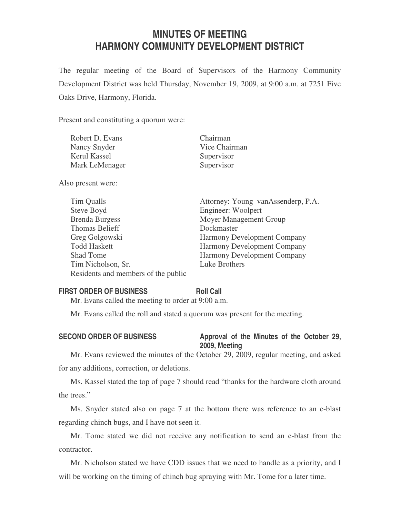# **MINUTES OF MEETING HARMONY COMMUNITY DEVELOPMENT DISTRICT**

The regular meeting of the Board of Supervisors of the Harmony Community Development District was held Thursday, November 19, 2009, at 9:00 a.m. at 7251 Five Oaks Drive, Harmony, Florida.

Present and constituting a quorum were:

| Robert D. Evans | Chairman      |
|-----------------|---------------|
| Nancy Snyder    | Vice Chairman |
| Kerul Kassel    | Supervisor    |
| Mark LeMenager  | Supervisor    |

Also present were:

| Tim Qualls                          | Attorney: Young vanAssenderp, P.A. |
|-------------------------------------|------------------------------------|
| Steve Boyd                          | Engineer: Woolpert                 |
| <b>Brenda Burgess</b>               | Moyer Management Group             |
| Thomas Belieff                      | Dockmaster                         |
| Greg Golgowski                      | Harmony Development Company        |
| <b>Todd Haskett</b>                 | Harmony Development Company        |
| <b>Shad Tome</b>                    | <b>Harmony Development Company</b> |
| Tim Nicholson, Sr.                  | Luke Brothers                      |
| Residents and members of the public |                                    |

## **FIRST ORDER OF BUSINESS Roll Call**

Mr. Evans called the meeting to order at 9:00 a.m.

Mr. Evans called the roll and stated a quorum was present for the meeting.

### SECOND ORDER OF BUSINESS Approval of the Minutes of the October 29, **2009, Meeting**

Mr. Evans reviewed the minutes of the October 29, 2009, regular meeting, and asked for any additions, correction, or deletions.

Ms. Kassel stated the top of page 7 should read "thanks for the hardware cloth around the trees."

Ms. Snyder stated also on page 7 at the bottom there was reference to an e-blast regarding chinch bugs, and I have not seen it.

Mr. Tome stated we did not receive any notification to send an e-blast from the contractor.

Mr. Nicholson stated we have CDD issues that we need to handle as a priority, and I will be working on the timing of chinch bug spraying with Mr. Tome for a later time.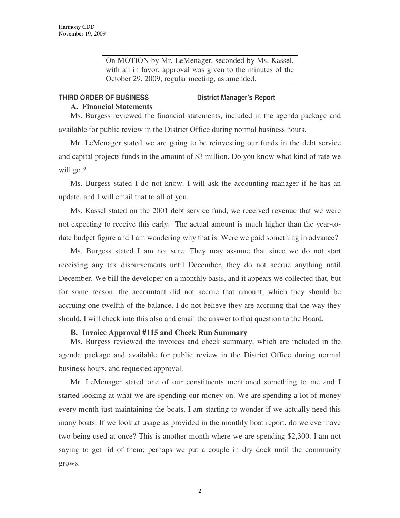On MOTION by Mr. LeMenager, seconded by Ms. Kassel, with all in favor, approval was given to the minutes of the October 29, 2009, regular meeting, as amended.

#### **THIRD ORDER OF BUSINESS District Manager's Report**

### **A. Financial Statements**

Ms. Burgess reviewed the financial statements, included in the agenda package and available for public review in the District Office during normal business hours.

Mr. LeMenager stated we are going to be reinvesting our funds in the debt service and capital projects funds in the amount of \$3 million. Do you know what kind of rate we will get?

Ms. Burgess stated I do not know. I will ask the accounting manager if he has an update, and I will email that to all of you.

Ms. Kassel stated on the 2001 debt service fund, we received revenue that we were not expecting to receive this early. The actual amount is much higher than the year-todate budget figure and I am wondering why that is. Were we paid something in advance?

Ms. Burgess stated I am not sure. They may assume that since we do not start receiving any tax disbursements until December, they do not accrue anything until December. We bill the developer on a monthly basis, and it appears we collected that, but for some reason, the accountant did not accrue that amount, which they should be accruing one-twelfth of the balance. I do not believe they are accruing that the way they should. I will check into this also and email the answer to that question to the Board.

### **B. Invoice Approval #115 and Check Run Summary**

Ms. Burgess reviewed the invoices and check summary, which are included in the agenda package and available for public review in the District Office during normal business hours, and requested approval.

Mr. LeMenager stated one of our constituents mentioned something to me and I started looking at what we are spending our money on. We are spending a lot of money every month just maintaining the boats. I am starting to wonder if we actually need this many boats. If we look at usage as provided in the monthly boat report, do we ever have two being used at once? This is another month where we are spending \$2,300. I am not saying to get rid of them; perhaps we put a couple in dry dock until the community grows.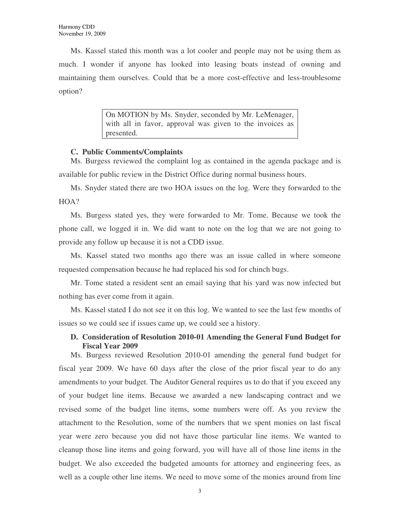Ms. Kassel stated this month was a lot cooler and people may not be using them as much. I wonder if anyone has looked into leasing boats instead of owning and maintaining them ourselves. Could that be a more cost-effective and less-troublesome option?

> On MOTION by Ms. Snyder, seconded by Mr. LeMenager, with all in favor, approval was given to the invoices as presented.

### **C. Public Comments/Complaints**

Ms. Burgess reviewed the complaint log as contained in the agenda package and is available for public review in the District Office during normal business hours.

Ms. Snyder stated there are two HOA issues on the log. Were they forwarded to the HOA?

Ms. Burgess stated yes, they were forwarded to Mr. Tome. Because we took the phone call, we logged it in. We did want to note on the log that we are not going to provide any follow up because it is not a CDD issue.

Ms. Kassel stated two months ago there was an issue called in where someone requested compensation because he had replaced his sod for chinch bugs.

Mr. Tome stated a resident sent an email saying that his yard was now infected but nothing has ever come from it again.

Ms. Kassel stated I do not see it on this log. We wanted to see the last few months of issues so we could see if issues came up, we could see a history.

# **D. Consideration of Resolution 2010-01 Amending the General Fund Budget for Fiscal Year 2009**

Ms. Burgess reviewed Resolution 2010-01 amending the general fund budget for fiscal year 2009. We have 60 days after the close of the prior fiscal year to do any amendments to your budget. The Auditor General requires us to do that if you exceed any of your budget line items. Because we awarded a new landscaping contract and we revised some of the budget line items, some numbers were off. As you review the attachment to the Resolution, some of the numbers that we spent monies on last fiscal year were zero because you did not have those particular line items. We wanted to cleanup those line items and going forward, you will have all of those line items in the budget. We also exceeded the budgeted amounts for attorney and engineering fees, as well as a couple other line items. We need to move some of the monies around from line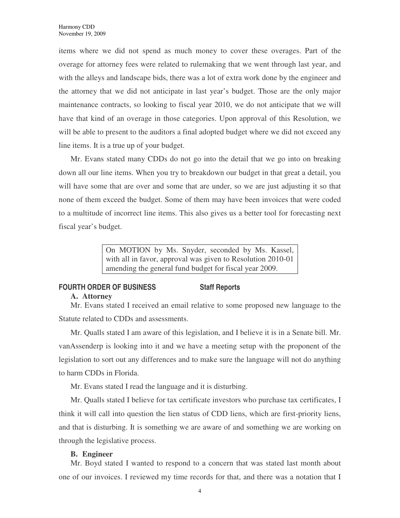items where we did not spend as much money to cover these overages. Part of the overage for attorney fees were related to rulemaking that we went through last year, and with the alleys and landscape bids, there was a lot of extra work done by the engineer and the attorney that we did not anticipate in last year's budget. Those are the only major maintenance contracts, so looking to fiscal year 2010, we do not anticipate that we will have that kind of an overage in those categories. Upon approval of this Resolution, we will be able to present to the auditors a final adopted budget where we did not exceed any line items. It is a true up of your budget.

Mr. Evans stated many CDDs do not go into the detail that we go into on breaking down all our line items. When you try to breakdown our budget in that great a detail, you will have some that are over and some that are under, so we are just adjusting it so that none of them exceed the budget. Some of them may have been invoices that were coded to a multitude of incorrect line items. This also gives us a better tool for forecasting next fiscal year's budget.

> On MOTION by Ms. Snyder, seconded by Ms. Kassel, with all in favor, approval was given to Resolution 2010-01 amending the general fund budget for fiscal year 2009.

### **FOURTH ORDER OF BUSINESS Staff Reports A. Attorney**

Mr. Evans stated I received an email relative to some proposed new language to the Statute related to CDDs and assessments.

Mr. Qualls stated I am aware of this legislation, and I believe it is in a Senate bill. Mr. vanAssenderp is looking into it and we have a meeting setup with the proponent of the legislation to sort out any differences and to make sure the language will not do anything to harm CDDs in Florida.

Mr. Evans stated I read the language and it is disturbing.

Mr. Qualls stated I believe for tax certificate investors who purchase tax certificates, I think it will call into question the lien status of CDD liens, which are first-priority liens, and that is disturbing. It is something we are aware of and something we are working on through the legislative process.

# **B. Engineer**

Mr. Boyd stated I wanted to respond to a concern that was stated last month about one of our invoices. I reviewed my time records for that, and there was a notation that I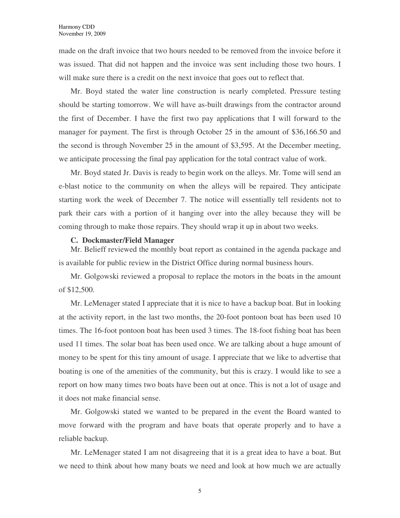made on the draft invoice that two hours needed to be removed from the invoice before it was issued. That did not happen and the invoice was sent including those two hours. I will make sure there is a credit on the next invoice that goes out to reflect that.

Mr. Boyd stated the water line construction is nearly completed. Pressure testing should be starting tomorrow. We will have as-built drawings from the contractor around the first of December. I have the first two pay applications that I will forward to the manager for payment. The first is through October 25 in the amount of \$36,166.50 and the second is through November 25 in the amount of \$3,595. At the December meeting, we anticipate processing the final pay application for the total contract value of work.

Mr. Boyd stated Jr. Davis is ready to begin work on the alleys. Mr. Tome will send an e-blast notice to the community on when the alleys will be repaired. They anticipate starting work the week of December 7. The notice will essentially tell residents not to park their cars with a portion of it hanging over into the alley because they will be coming through to make those repairs. They should wrap it up in about two weeks.

#### **C. Dockmaster/Field Manager**

Mr. Belieff reviewed the monthly boat report as contained in the agenda package and is available for public review in the District Office during normal business hours.

Mr. Golgowski reviewed a proposal to replace the motors in the boats in the amount of \$12,500.

Mr. LeMenager stated I appreciate that it is nice to have a backup boat. But in looking at the activity report, in the last two months, the 20-foot pontoon boat has been used 10 times. The 16-foot pontoon boat has been used 3 times. The 18-foot fishing boat has been used 11 times. The solar boat has been used once. We are talking about a huge amount of money to be spent for this tiny amount of usage. I appreciate that we like to advertise that boating is one of the amenities of the community, but this is crazy. I would like to see a report on how many times two boats have been out at once. This is not a lot of usage and it does not make financial sense.

Mr. Golgowski stated we wanted to be prepared in the event the Board wanted to move forward with the program and have boats that operate properly and to have a reliable backup.

Mr. LeMenager stated I am not disagreeing that it is a great idea to have a boat. But we need to think about how many boats we need and look at how much we are actually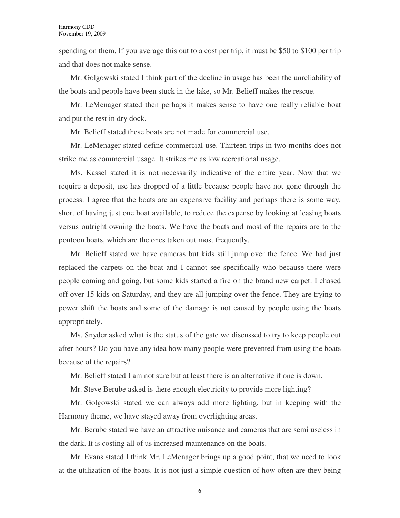spending on them. If you average this out to a cost per trip, it must be \$50 to \$100 per trip and that does not make sense.

Mr. Golgowski stated I think part of the decline in usage has been the unreliability of the boats and people have been stuck in the lake, so Mr. Belieff makes the rescue.

Mr. LeMenager stated then perhaps it makes sense to have one really reliable boat and put the rest in dry dock.

Mr. Belieff stated these boats are not made for commercial use.

Mr. LeMenager stated define commercial use. Thirteen trips in two months does not strike me as commercial usage. It strikes me as low recreational usage.

Ms. Kassel stated it is not necessarily indicative of the entire year. Now that we require a deposit, use has dropped of a little because people have not gone through the process. I agree that the boats are an expensive facility and perhaps there is some way, short of having just one boat available, to reduce the expense by looking at leasing boats versus outright owning the boats. We have the boats and most of the repairs are to the pontoon boats, which are the ones taken out most frequently.

Mr. Belieff stated we have cameras but kids still jump over the fence. We had just replaced the carpets on the boat and I cannot see specifically who because there were people coming and going, but some kids started a fire on the brand new carpet. I chased off over 15 kids on Saturday, and they are all jumping over the fence. They are trying to power shift the boats and some of the damage is not caused by people using the boats appropriately.

Ms. Snyder asked what is the status of the gate we discussed to try to keep people out after hours? Do you have any idea how many people were prevented from using the boats because of the repairs?

Mr. Belieff stated I am not sure but at least there is an alternative if one is down.

Mr. Steve Berube asked is there enough electricity to provide more lighting?

Mr. Golgowski stated we can always add more lighting, but in keeping with the Harmony theme, we have stayed away from overlighting areas.

Mr. Berube stated we have an attractive nuisance and cameras that are semi useless in the dark. It is costing all of us increased maintenance on the boats.

Mr. Evans stated I think Mr. LeMenager brings up a good point, that we need to look at the utilization of the boats. It is not just a simple question of how often are they being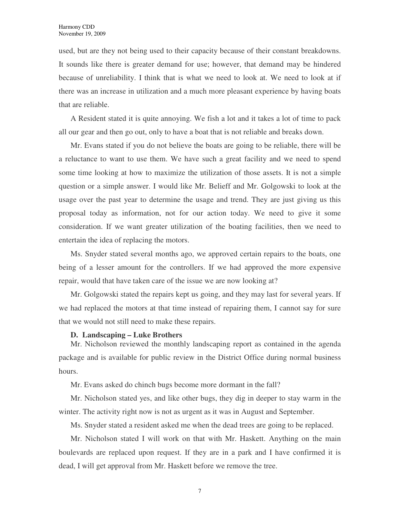used, but are they not being used to their capacity because of their constant breakdowns. It sounds like there is greater demand for use; however, that demand may be hindered because of unreliability. I think that is what we need to look at. We need to look at if there was an increase in utilization and a much more pleasant experience by having boats that are reliable.

A Resident stated it is quite annoying. We fish a lot and it takes a lot of time to pack all our gear and then go out, only to have a boat that is not reliable and breaks down.

Mr. Evans stated if you do not believe the boats are going to be reliable, there will be a reluctance to want to use them. We have such a great facility and we need to spend some time looking at how to maximize the utilization of those assets. It is not a simple question or a simple answer. I would like Mr. Belieff and Mr. Golgowski to look at the usage over the past year to determine the usage and trend. They are just giving us this proposal today as information, not for our action today. We need to give it some consideration. If we want greater utilization of the boating facilities, then we need to entertain the idea of replacing the motors.

Ms. Snyder stated several months ago, we approved certain repairs to the boats, one being of a lesser amount for the controllers. If we had approved the more expensive repair, would that have taken care of the issue we are now looking at?

Mr. Golgowski stated the repairs kept us going, and they may last for several years. If we had replaced the motors at that time instead of repairing them, I cannot say for sure that we would not still need to make these repairs.

#### **D. Landscaping – Luke Brothers**

Mr. Nicholson reviewed the monthly landscaping report as contained in the agenda package and is available for public review in the District Office during normal business hours.

Mr. Evans asked do chinch bugs become more dormant in the fall?

Mr. Nicholson stated yes, and like other bugs, they dig in deeper to stay warm in the winter. The activity right now is not as urgent as it was in August and September.

Ms. Snyder stated a resident asked me when the dead trees are going to be replaced.

Mr. Nicholson stated I will work on that with Mr. Haskett. Anything on the main boulevards are replaced upon request. If they are in a park and I have confirmed it is dead, I will get approval from Mr. Haskett before we remove the tree.

7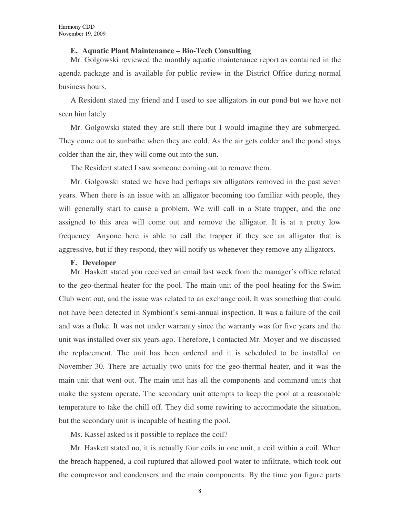#### **E. Aquatic Plant Maintenance – Bio-Tech Consulting**

Mr. Golgowski reviewed the monthly aquatic maintenance report as contained in the agenda package and is available for public review in the District Office during normal business hours.

A Resident stated my friend and I used to see alligators in our pond but we have not seen him lately.

Mr. Golgowski stated they are still there but I would imagine they are submerged. They come out to sunbathe when they are cold. As the air gets colder and the pond stays colder than the air, they will come out into the sun.

The Resident stated I saw someone coming out to remove them.

Mr. Golgowski stated we have had perhaps six alligators removed in the past seven years. When there is an issue with an alligator becoming too familiar with people, they will generally start to cause a problem. We will call in a State trapper, and the one assigned to this area will come out and remove the alligator. It is at a pretty low frequency. Anyone here is able to call the trapper if they see an alligator that is aggressive, but if they respond, they will notify us whenever they remove any alligators.

#### **F. Developer**

Mr. Haskett stated you received an email last week from the manager's office related to the geo-thermal heater for the pool. The main unit of the pool heating for the Swim Club went out, and the issue was related to an exchange coil. It was something that could not have been detected in Symbiont's semi-annual inspection. It was a failure of the coil and was a fluke. It was not under warranty since the warranty was for five years and the unit was installed over six years ago. Therefore, I contacted Mr. Moyer and we discussed the replacement. The unit has been ordered and it is scheduled to be installed on November 30. There are actually two units for the geo-thermal heater, and it was the main unit that went out. The main unit has all the components and command units that make the system operate. The secondary unit attempts to keep the pool at a reasonable temperature to take the chill off. They did some rewiring to accommodate the situation, but the secondary unit is incapable of heating the pool.

Ms. Kassel asked is it possible to replace the coil?

Mr. Haskett stated no, it is actually four coils in one unit, a coil within a coil. When the breach happened, a coil ruptured that allowed pool water to infiltrate, which took out the compressor and condensers and the main components. By the time you figure parts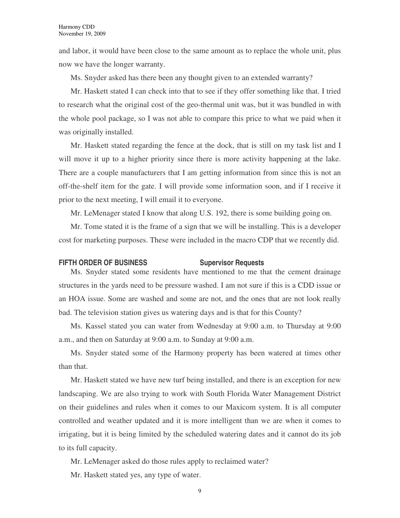and labor, it would have been close to the same amount as to replace the whole unit, plus now we have the longer warranty.

Ms. Snyder asked has there been any thought given to an extended warranty?

Mr. Haskett stated I can check into that to see if they offer something like that. I tried to research what the original cost of the geo-thermal unit was, but it was bundled in with the whole pool package, so I was not able to compare this price to what we paid when it was originally installed.

Mr. Haskett stated regarding the fence at the dock, that is still on my task list and I will move it up to a higher priority since there is more activity happening at the lake. There are a couple manufacturers that I am getting information from since this is not an off-the-shelf item for the gate. I will provide some information soon, and if I receive it prior to the next meeting, I will email it to everyone.

Mr. LeMenager stated I know that along U.S. 192, there is some building going on.

Mr. Tome stated it is the frame of a sign that we will be installing. This is a developer cost for marketing purposes. These were included in the macro CDP that we recently did.

#### **FIFTH ORDER OF BUSINESS Supervisor Requests**

Ms. Snyder stated some residents have mentioned to me that the cement drainage structures in the yards need to be pressure washed. I am not sure if this is a CDD issue or an HOA issue. Some are washed and some are not, and the ones that are not look really bad. The television station gives us watering days and is that for this County?

Ms. Kassel stated you can water from Wednesday at 9:00 a.m. to Thursday at 9:00 a.m., and then on Saturday at 9:00 a.m. to Sunday at 9:00 a.m.

Ms. Snyder stated some of the Harmony property has been watered at times other than that.

Mr. Haskett stated we have new turf being installed, and there is an exception for new landscaping. We are also trying to work with South Florida Water Management District on their guidelines and rules when it comes to our Maxicom system. It is all computer controlled and weather updated and it is more intelligent than we are when it comes to irrigating, but it is being limited by the scheduled watering dates and it cannot do its job to its full capacity.

Mr. LeMenager asked do those rules apply to reclaimed water?

Mr. Haskett stated yes, any type of water.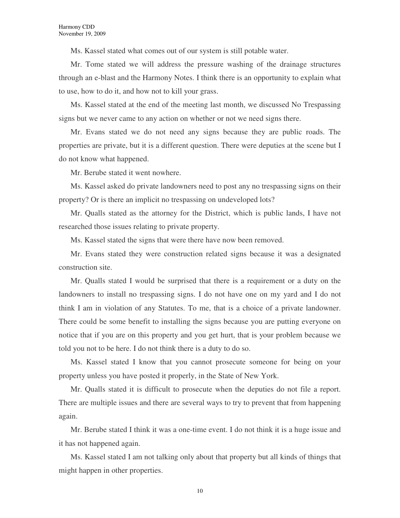Ms. Kassel stated what comes out of our system is still potable water.

Mr. Tome stated we will address the pressure washing of the drainage structures through an e-blast and the Harmony Notes. I think there is an opportunity to explain what to use, how to do it, and how not to kill your grass.

Ms. Kassel stated at the end of the meeting last month, we discussed No Trespassing signs but we never came to any action on whether or not we need signs there.

Mr. Evans stated we do not need any signs because they are public roads. The properties are private, but it is a different question. There were deputies at the scene but I do not know what happened.

Mr. Berube stated it went nowhere.

Ms. Kassel asked do private landowners need to post any no trespassing signs on their property? Or is there an implicit no trespassing on undeveloped lots?

Mr. Qualls stated as the attorney for the District, which is public lands, I have not researched those issues relating to private property.

Ms. Kassel stated the signs that were there have now been removed.

Mr. Evans stated they were construction related signs because it was a designated construction site.

Mr. Qualls stated I would be surprised that there is a requirement or a duty on the landowners to install no trespassing signs. I do not have one on my yard and I do not think I am in violation of any Statutes. To me, that is a choice of a private landowner. There could be some benefit to installing the signs because you are putting everyone on notice that if you are on this property and you get hurt, that is your problem because we told you not to be here. I do not think there is a duty to do so.

Ms. Kassel stated I know that you cannot prosecute someone for being on your property unless you have posted it properly, in the State of New York.

Mr. Qualls stated it is difficult to prosecute when the deputies do not file a report. There are multiple issues and there are several ways to try to prevent that from happening again.

Mr. Berube stated I think it was a one-time event. I do not think it is a huge issue and it has not happened again.

Ms. Kassel stated I am not talking only about that property but all kinds of things that might happen in other properties.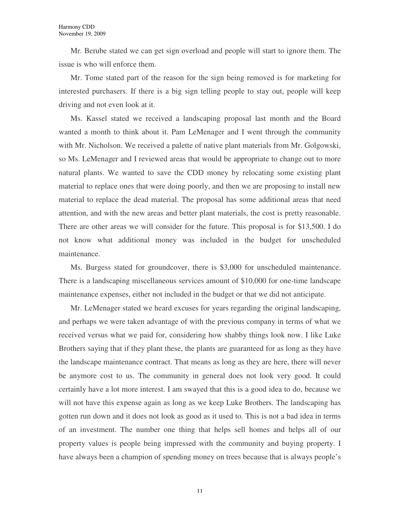Mr. Berube stated we can get sign overload and people will start to ignore them. The issue is who will enforce them.

Mr. Tome stated part of the reason for the sign being removed is for marketing for interested purchasers. If there is a big sign telling people to stay out, people will keep driving and not even look at it.

Ms. Kassel stated we received a landscaping proposal last month and the Board wanted a month to think about it. Pam LeMenager and I went through the community with Mr. Nicholson. We received a palette of native plant materials from Mr. Golgowski, so Ms. LeMenager and I reviewed areas that would be appropriate to change out to more natural plants. We wanted to save the CDD money by relocating some existing plant material to replace ones that were doing poorly, and then we are proposing to install new material to replace the dead material. The proposal has some additional areas that need attention, and with the new areas and better plant materials, the cost is pretty reasonable. There are other areas we will consider for the future. This proposal is for \$13,500. I do not know what additional money was included in the budget for unscheduled maintenance.

Ms. Burgess stated for groundcover, there is \$3,000 for unscheduled maintenance. There is a landscaping miscellaneous services amount of \$10,000 for one-time landscape maintenance expenses, either not included in the budget or that we did not anticipate.

Mr. LeMenager stated we heard excuses for years regarding the original landscaping, and perhaps we were taken advantage of with the previous company in terms of what we received versus what we paid for, considering how shabby things look now. I like Luke Brothers saying that if they plant these, the plants are guaranteed for as long as they have the landscape maintenance contract. That means as long as they are here, there will never be anymore cost to us. The community in general does not look very good. It could certainly have a lot more interest. I am swayed that this is a good idea to do, because we will not have this expense again as long as we keep Luke Brothers. The landscaping has gotten run down and it does not look as good as it used to. This is not a bad idea in terms of an investment. The number one thing that helps sell homes and helps all of our property values is people being impressed with the community and buying property. I have always been a champion of spending money on trees because that is always people's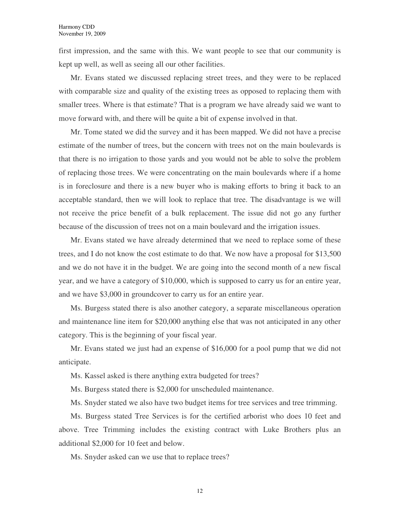first impression, and the same with this. We want people to see that our community is kept up well, as well as seeing all our other facilities.

Mr. Evans stated we discussed replacing street trees, and they were to be replaced with comparable size and quality of the existing trees as opposed to replacing them with smaller trees. Where is that estimate? That is a program we have already said we want to move forward with, and there will be quite a bit of expense involved in that.

Mr. Tome stated we did the survey and it has been mapped. We did not have a precise estimate of the number of trees, but the concern with trees not on the main boulevards is that there is no irrigation to those yards and you would not be able to solve the problem of replacing those trees. We were concentrating on the main boulevards where if a home is in foreclosure and there is a new buyer who is making efforts to bring it back to an acceptable standard, then we will look to replace that tree. The disadvantage is we will not receive the price benefit of a bulk replacement. The issue did not go any further because of the discussion of trees not on a main boulevard and the irrigation issues.

Mr. Evans stated we have already determined that we need to replace some of these trees, and I do not know the cost estimate to do that. We now have a proposal for \$13,500 and we do not have it in the budget. We are going into the second month of a new fiscal year, and we have a category of \$10,000, which is supposed to carry us for an entire year, and we have \$3,000 in groundcover to carry us for an entire year.

Ms. Burgess stated there is also another category, a separate miscellaneous operation and maintenance line item for \$20,000 anything else that was not anticipated in any other category. This is the beginning of your fiscal year.

Mr. Evans stated we just had an expense of \$16,000 for a pool pump that we did not anticipate.

Ms. Kassel asked is there anything extra budgeted for trees?

Ms. Burgess stated there is \$2,000 for unscheduled maintenance.

Ms. Snyder stated we also have two budget items for tree services and tree trimming.

Ms. Burgess stated Tree Services is for the certified arborist who does 10 feet and above. Tree Trimming includes the existing contract with Luke Brothers plus an additional \$2,000 for 10 feet and below.

Ms. Snyder asked can we use that to replace trees?

12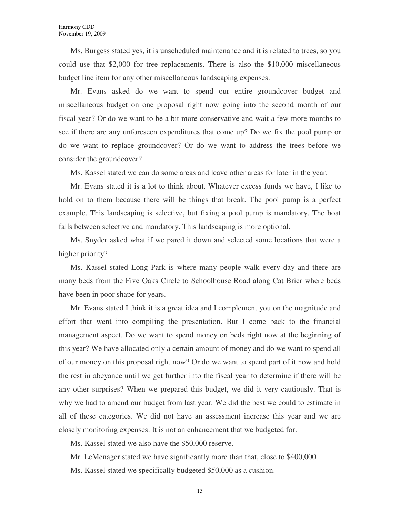Ms. Burgess stated yes, it is unscheduled maintenance and it is related to trees, so you could use that \$2,000 for tree replacements. There is also the \$10,000 miscellaneous budget line item for any other miscellaneous landscaping expenses.

Mr. Evans asked do we want to spend our entire groundcover budget and miscellaneous budget on one proposal right now going into the second month of our fiscal year? Or do we want to be a bit more conservative and wait a few more months to see if there are any unforeseen expenditures that come up? Do we fix the pool pump or do we want to replace groundcover? Or do we want to address the trees before we consider the groundcover?

Ms. Kassel stated we can do some areas and leave other areas for later in the year.

Mr. Evans stated it is a lot to think about. Whatever excess funds we have, I like to hold on to them because there will be things that break. The pool pump is a perfect example. This landscaping is selective, but fixing a pool pump is mandatory. The boat falls between selective and mandatory. This landscaping is more optional.

Ms. Snyder asked what if we pared it down and selected some locations that were a higher priority?

Ms. Kassel stated Long Park is where many people walk every day and there are many beds from the Five Oaks Circle to Schoolhouse Road along Cat Brier where beds have been in poor shape for years.

Mr. Evans stated I think it is a great idea and I complement you on the magnitude and effort that went into compiling the presentation. But I come back to the financial management aspect. Do we want to spend money on beds right now at the beginning of this year? We have allocated only a certain amount of money and do we want to spend all of our money on this proposal right now? Or do we want to spend part of it now and hold the rest in abeyance until we get further into the fiscal year to determine if there will be any other surprises? When we prepared this budget, we did it very cautiously. That is why we had to amend our budget from last year. We did the best we could to estimate in all of these categories. We did not have an assessment increase this year and we are closely monitoring expenses. It is not an enhancement that we budgeted for.

Ms. Kassel stated we also have the \$50,000 reserve.

Mr. LeMenager stated we have significantly more than that, close to \$400,000.

Ms. Kassel stated we specifically budgeted \$50,000 as a cushion.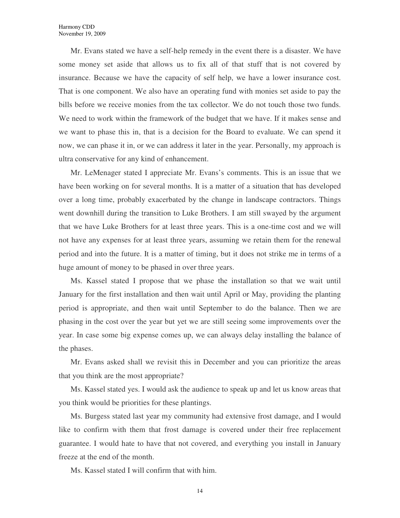Mr. Evans stated we have a self-help remedy in the event there is a disaster. We have some money set aside that allows us to fix all of that stuff that is not covered by insurance. Because we have the capacity of self help, we have a lower insurance cost. That is one component. We also have an operating fund with monies set aside to pay the bills before we receive monies from the tax collector. We do not touch those two funds. We need to work within the framework of the budget that we have. If it makes sense and we want to phase this in, that is a decision for the Board to evaluate. We can spend it now, we can phase it in, or we can address it later in the year. Personally, my approach is ultra conservative for any kind of enhancement.

Mr. LeMenager stated I appreciate Mr. Evans's comments. This is an issue that we have been working on for several months. It is a matter of a situation that has developed over a long time, probably exacerbated by the change in landscape contractors. Things went downhill during the transition to Luke Brothers. I am still swayed by the argument that we have Luke Brothers for at least three years. This is a one-time cost and we will not have any expenses for at least three years, assuming we retain them for the renewal period and into the future. It is a matter of timing, but it does not strike me in terms of a huge amount of money to be phased in over three years.

Ms. Kassel stated I propose that we phase the installation so that we wait until January for the first installation and then wait until April or May, providing the planting period is appropriate, and then wait until September to do the balance. Then we are phasing in the cost over the year but yet we are still seeing some improvements over the year. In case some big expense comes up, we can always delay installing the balance of the phases.

Mr. Evans asked shall we revisit this in December and you can prioritize the areas that you think are the most appropriate?

Ms. Kassel stated yes. I would ask the audience to speak up and let us know areas that you think would be priorities for these plantings.

Ms. Burgess stated last year my community had extensive frost damage, and I would like to confirm with them that frost damage is covered under their free replacement guarantee. I would hate to have that not covered, and everything you install in January freeze at the end of the month.

Ms. Kassel stated I will confirm that with him.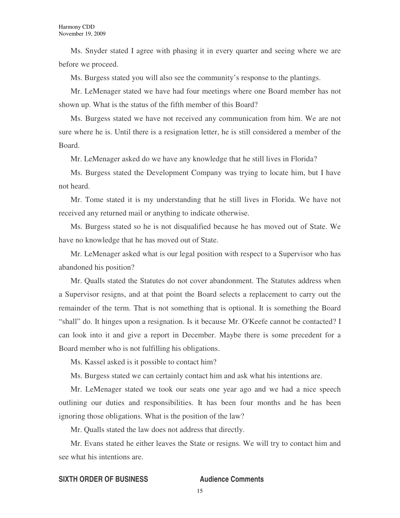Ms. Snyder stated I agree with phasing it in every quarter and seeing where we are before we proceed.

Ms. Burgess stated you will also see the community's response to the plantings.

Mr. LeMenager stated we have had four meetings where one Board member has not shown up. What is the status of the fifth member of this Board?

Ms. Burgess stated we have not received any communication from him. We are not sure where he is. Until there is a resignation letter, he is still considered a member of the Board.

Mr. LeMenager asked do we have any knowledge that he still lives in Florida?

Ms. Burgess stated the Development Company was trying to locate him, but I have not heard.

Mr. Tome stated it is my understanding that he still lives in Florida. We have not received any returned mail or anything to indicate otherwise.

Ms. Burgess stated so he is not disqualified because he has moved out of State. We have no knowledge that he has moved out of State.

Mr. LeMenager asked what is our legal position with respect to a Supervisor who has abandoned his position?

Mr. Qualls stated the Statutes do not cover abandonment. The Statutes address when a Supervisor resigns, and at that point the Board selects a replacement to carry out the remainder of the term. That is not something that is optional. It is something the Board "shall" do. It hinges upon a resignation. Is it because Mr. O'Keefe cannot be contacted? I can look into it and give a report in December. Maybe there is some precedent for a Board member who is not fulfilling his obligations.

Ms. Kassel asked is it possible to contact him?

Ms. Burgess stated we can certainly contact him and ask what his intentions are.

Mr. LeMenager stated we took our seats one year ago and we had a nice speech outlining our duties and responsibilities. It has been four months and he has been ignoring those obligations. What is the position of the law?

Mr. Qualls stated the law does not address that directly.

Mr. Evans stated he either leaves the State or resigns. We will try to contact him and see what his intentions are.

### **SIXTH ORDER OF BUSINESS Audience Comments**

15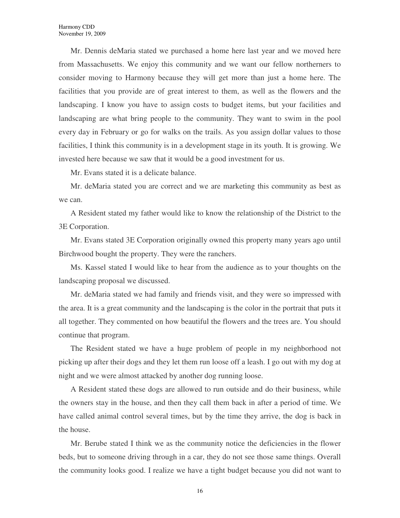Mr. Dennis deMaria stated we purchased a home here last year and we moved here from Massachusetts. We enjoy this community and we want our fellow northerners to consider moving to Harmony because they will get more than just a home here. The facilities that you provide are of great interest to them, as well as the flowers and the landscaping. I know you have to assign costs to budget items, but your facilities and landscaping are what bring people to the community. They want to swim in the pool every day in February or go for walks on the trails. As you assign dollar values to those facilities, I think this community is in a development stage in its youth. It is growing. We invested here because we saw that it would be a good investment for us.

Mr. Evans stated it is a delicate balance.

Mr. deMaria stated you are correct and we are marketing this community as best as we can.

A Resident stated my father would like to know the relationship of the District to the 3E Corporation.

Mr. Evans stated 3E Corporation originally owned this property many years ago until Birchwood bought the property. They were the ranchers.

Ms. Kassel stated I would like to hear from the audience as to your thoughts on the landscaping proposal we discussed.

Mr. deMaria stated we had family and friends visit, and they were so impressed with the area. It is a great community and the landscaping is the color in the portrait that puts it all together. They commented on how beautiful the flowers and the trees are. You should continue that program.

The Resident stated we have a huge problem of people in my neighborhood not picking up after their dogs and they let them run loose off a leash. I go out with my dog at night and we were almost attacked by another dog running loose.

A Resident stated these dogs are allowed to run outside and do their business, while the owners stay in the house, and then they call them back in after a period of time. We have called animal control several times, but by the time they arrive, the dog is back in the house.

Mr. Berube stated I think we as the community notice the deficiencies in the flower beds, but to someone driving through in a car, they do not see those same things. Overall the community looks good. I realize we have a tight budget because you did not want to